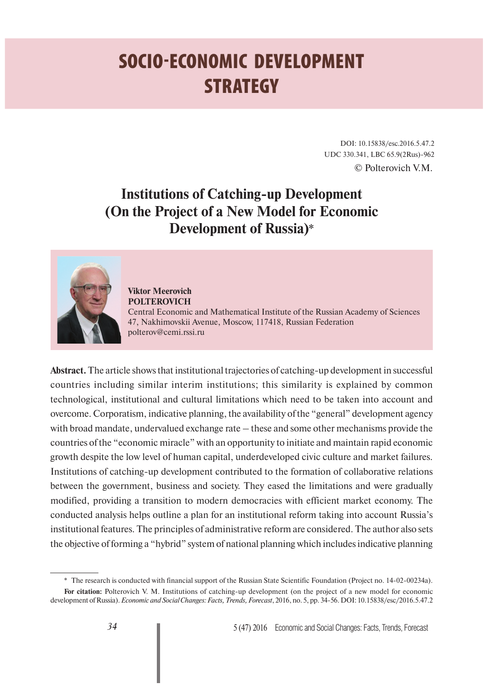# **SOCIO-ECONOMIC DEVELOPMENT STRATEGY**

DOI: 10.15838/esc.2016.5.47.2 UDC 330.341, LBC 65.9(2Rus)-962 © Polterovich V.M.

## **Institutions of Catching-up Development (On the Project of a New Model for Economic Development of Russia)**\*



**Viktor Meerovich POLTEROVICH**

Central Economic and Mathematical Institute of the Russian Academy of Sciences 47, Nakhimovskii Avenue, Moscow, 117418, Russian Federation polterov@cemi.rssi.ru

**Abstract.** The article shows that institutional trajectories of catching-up development in successful countries including similar interim institutions; this similarity is explained by common technological, institutional and cultural limitations which need to be taken into account and overcome. Corporatism, indicative planning, the availability of the "general" development agency with broad mandate, undervalued exchange rate – these and some other mechanisms provide the countries of the "economic miracle" with an opportunity to initiate and maintain rapid economic growth despite the low level of human capital, underdeveloped civic culture and market failures. Institutions of catching-up development contributed to the formation of collaborative relations between the government, business and society. They eased the limitations and were gradually modified, providing a transition to modern democracies with efficient market economy. The conducted analysis helps outline a plan for an institutional reform taking into account Russia's institutional features. The principles of administrative reform are considered. The author also sets the objective of forming a "hybrid" system of national planning which includes indicative planning

<sup>\*</sup> The research is conducted with financial support of the Russian State Scientific Foundation (Project no. 14-02-00234а).

**For citation:** Polterovich V. M. Institutions of catching-up development (on the project of a new model for economic development of Russia). *Economic and Social Changes: Facts, Trends, Forecast*, 2016, no. 5, pp. 34-56. DOI: 10.15838/esc/2016.5.47.2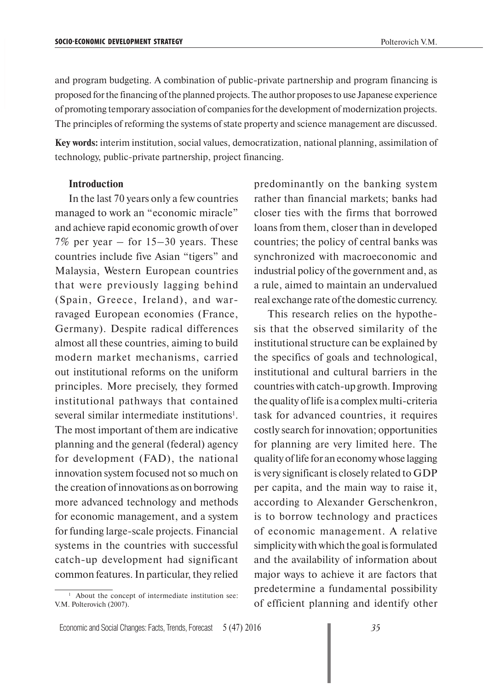and program budgeting. A combination of public-private partnership and program financing is proposed for the financing of the planned projects. The author proposes to use Japanese experience of promoting temporary association of companies for the development of modernization projects. The principles of reforming the systems of state property and science management are discussed.

**Key words:** interim institution, social values, democratization, national planning, assimilation of technology, public-private partnership, project financing.

#### **Introduction**

In the last 70 years only a few countries managed to work an "economic miracle" and achieve rapid economic growth of over 7% per year – for 15–30 years. These countries include five Asian "tigers" and Malaysia, Western European countries that were previously lagging behind (Spain, Greece, Ireland), and warravaged European economies (France, Germany). Despite radical differences almost all these countries, aiming to build modern market mechanisms, carried out institutional reforms on the uniform principles. More precisely, they formed institutional pathways that contained several similar intermediate institutions<sup>1</sup>. The most important of them are indicative planning and the general (federal) agency for development (FAD), the national innovation system focused not so much on the creation of innovations as on borrowing more advanced technology and methods for economic management, and a system for funding large-scale projects. Financial systems in the countries with successful catch-up development had significant common features. In particular, they relied predominantly on the banking system rather than financial markets; banks had closer ties with the firms that borrowed loans from them, closer than in developed countries; the policy of central banks was synchronized with macroeconomic and industrial policy of the government and, as a rule, aimed to maintain an undervalued real exchange rate of the domestic currency.

This research relies on the hypothesis that the observed similarity of the institutional structure can be explained by the specifics of goals and technological, institutional and cultural barriers in the countries with catch-up growth. Improving the quality of life is a complex multi-criteria task for advanced countries, it requires costly search for innovation; opportunities for planning are very limited here. The quality of life for an economy whose lagging is very significant is closely related to GDP per capita, and the main way to raise it, according to Alexander Gerschenkron, is to borrow technology and practices of economic management. A relative simplicity with which the goal is formulated and the availability of information about major ways to achieve it are factors that predetermine a fundamental possibility of efficient planning and identify other

<sup>&</sup>lt;sup>1</sup> About the concept of intermediate institution see: V.M. Polterovich (2007).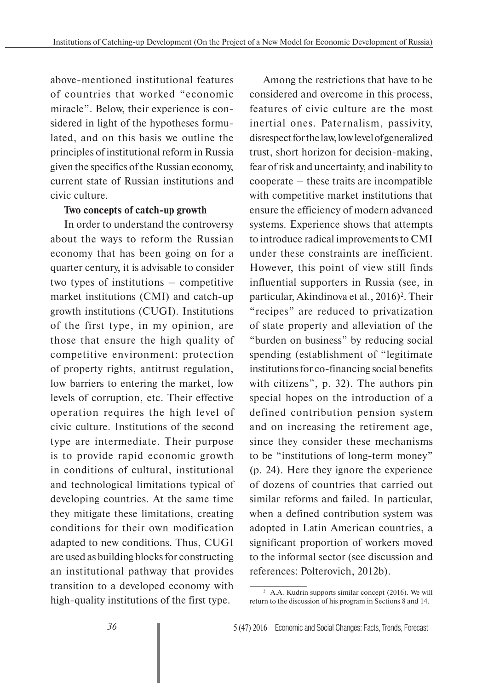above-mentioned institutional features of countries that worked "economic miracle". Below, their experience is considered in light of the hypotheses formulated, and on this basis we outline the principles of institutional reform in Russia given the specifics of the Russian economy, current state of Russian institutions and civic culture.

#### **Two concepts of catch-up growth**

In order to understand the controversy about the ways to reform the Russian economy that has been going on for a quarter century, it is advisable to consider two types of institutions – competitive market institutions (CMI) and catch-up growth institutions (CUGI). Institutions of the first type, in my opinion, are those that ensure the high quality of competitive environment: protection of property rights, antitrust regulation, low barriers to entering the market, low levels of corruption, etc. Their effective operation requires the high level of civic culture. Institutions of the second type are intermediate. Their purpose is to provide rapid economic growth in conditions of cultural, institutional and technological limitations typical of developing countries. At the same time they mitigate these limitations, creating conditions for their own modification adapted to new conditions. Thus, CUGI are used as building blocks for constructing an institutional pathway that provides transition to a developed economy with high-quality institutions of the first type.

Among the restrictions that have to be considered and overcome in this process, features of civic culture are the most inertial ones. Paternalism, passivity, disrespect for the law, low level of generalized trust, short horizon for decision-making, fear of risk and uncertainty, and inability to cooperate – these traits are incompatible with competitive market institutions that ensure the efficiency of modern advanced systems. Experience shows that attempts to introduce radical improvements to CMI under these constraints are inefficient. However, this point of view still finds influential supporters in Russia (see, in particular, Akindinova et al., 2016)<sup>2</sup>. Their "recipes" are reduced to privatization of state property and alleviation of the "burden on business" by reducing social spending (establishment of "legitimate institutions for co-financing social benefits with citizens", p. 32). The authors pin special hopes on the introduction of a defined contribution pension system and on increasing the retirement age, since they consider these mechanisms to be "institutions of long-term money" (p. 24). Here they ignore the experience of dozens of countries that carried out similar reforms and failed. In particular, when a defined contribution system was adopted in Latin American countries, a significant proportion of workers moved to the informal sector (see discussion and references: Polterovich, 2012b).

<sup>2</sup> A.A. Kudrin supports similar concept (2016). We will return to the discussion of his program in Sections 8 and 14.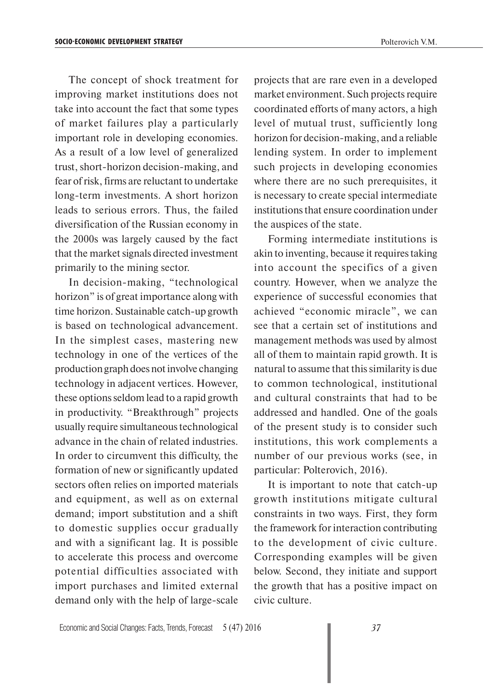The concept of shock treatment for improving market institutions does not take into account the fact that some types of market failures play a particularly important role in developing economies. As a result of a low level of generalized trust, short-horizon decision-making, and fear of risk, firms are reluctant to undertake long-term investments. A short horizon leads to serious errors. Thus, the failed diversification of the Russian economy in the 2000s was largely caused by the fact that the market signals directed investment primarily to the mining sector.

In decision-making, "technological horizon" is of great importance along with time horizon. Sustainable catch-up growth is based on technological advancement. In the simplest cases, mastering new technology in one of the vertices of the production graph does not involve changing technology in adjacent vertices. However, these options seldom lead to a rapid growth in productivity. "Breakthrough" projects usually require simultaneous technological advance in the chain of related industries. In order to circumvent this difficulty, the formation of new or significantly updated sectors often relies on imported materials and equipment, as well as on external demand; import substitution and a shift to domestic supplies occur gradually and with a significant lag. It is possible to accelerate this process and overcome potential difficulties associated with import purchases and limited external demand only with the help of large-scale

projects that are rare even in a developed market environment. Such projects require coordinated efforts of many actors, a high level of mutual trust, sufficiently long horizon for decision-making, and a reliable lending system. In order to implement such projects in developing economies where there are no such prerequisites, it is necessary to create special intermediate institutions that ensure coordination under the auspices of the state.

Forming intermediate institutions is akin to inventing, because it requires taking into account the specifics of a given country. However, when we analyze the experience of successful economies that achieved "economic miracle", we can see that a certain set of institutions and management methods was used by almost all of them to maintain rapid growth. It is natural to assume that this similarity is due to common technological, institutional and cultural constraints that had to be addressed and handled. One of the goals of the present study is to consider such institutions, this work complements a number of our previous works (see, in particular: Polterovich, 2016).

It is important to note that catch-up growth institutions mitigate cultural constraints in two ways. First, they form the framework for interaction contributing to the development of civic culture. Corresponding examples will be given below. Second, they initiate and support the growth that has a positive impact on civic culture.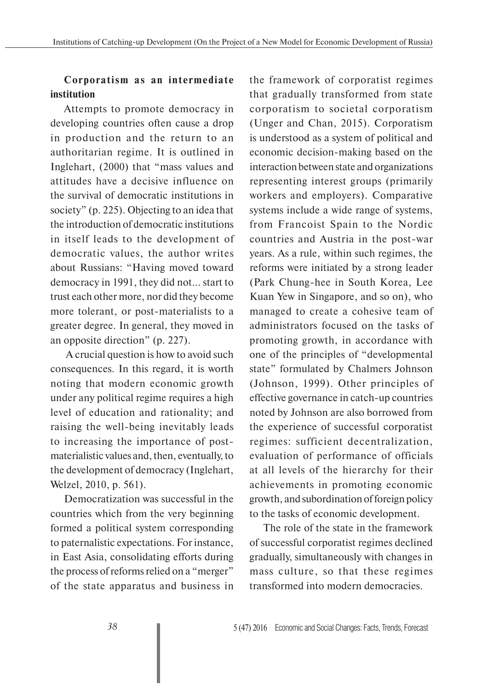## **Corporatism as an intermediate institution**

Attempts to promote democracy in developing countries often cause a drop in production and the return to an authoritarian regime. It is outlined in Inglehart, (2000) that "mass values and attitudes have a decisive influence on the survival of democratic institutions in society" (p. 225). Objecting to an idea that the introduction of democratic institutions in itself leads to the development of democratic values, the author writes about Russians: "Having moved toward democracy in 1991, they did not... start to trust each other more, nor did they become more tolerant, or post-materialists to a greater degree. In general, they moved in an opposite direction" (p. 227).

 A crucial question is how to avoid such consequences. In this regard, it is worth noting that modern economic growth under any political regime requires a high level of education and rationality; and raising the well-being inevitably leads to increasing the importance of postmaterialistic values and, then, eventually, to the development of democracy (Inglehart, Welzel, 2010, p. 561).

Democratization was successful in the countries which from the very beginning formed a political system corresponding to paternalistic expectations. For instance, in East Asia, consolidating efforts during the process of reforms relied on a "merger" of the state apparatus and business in

the framework of corporatist regimes that gradually transformed from state corporatism to societal corporatism (Unger and Chan, 2015). Corporatism is understood as a system of political and economic decision-making based on the interaction between state and organizations representing interest groups (primarily workers and employers). Comparative systems include a wide range of systems, from Francoist Spain to the Nordic countries and Austria in the post-war years. As a rule, within such regimes, the reforms were initiated by a strong leader (Park Chung-hee in South Korea, Lee Kuan Yew in Singapore, and so on), who managed to create a cohesive team of administrators focused on the tasks of promoting growth, in accordance with one of the principles of "developmental state" formulated by Chalmers Johnson (Johnson, 1999). Other principles of effective governance in catch-up countries noted by Johnson are also borrowed from the experience of successful corporatist regimes: sufficient decentralization, evaluation of performance of officials at all levels of the hierarchy for their achievements in promoting economic growth, and subordination of foreign policy to the tasks of economic development.

The role of the state in the framework of successful corporatist regimes declined gradually, simultaneously with changes in mass culture, so that these regimes transformed into modern democracies.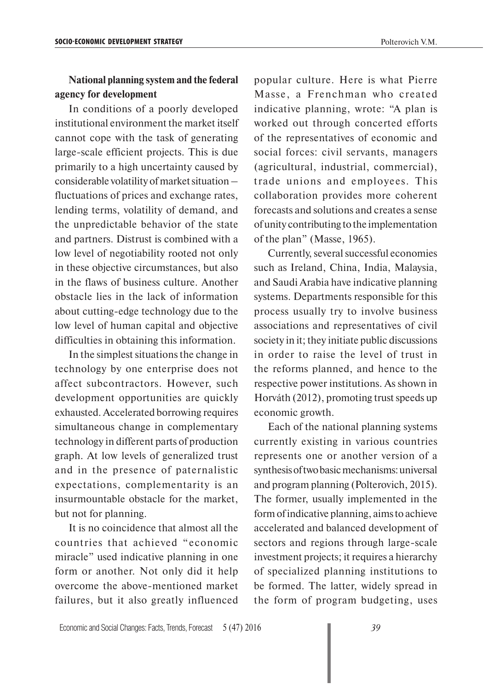#### **National planning system and the federal agency for development**

In conditions of a poorly developed institutional environment the market itself cannot cope with the task of generating large-scale efficient projects. This is due primarily to a high uncertainty caused by considerable volatility of market situation – fluctuations of prices and exchange rates, lending terms, volatility of demand, and the unpredictable behavior of the state and partners. Distrust is combined with a low level of negotiability rooted not only in these objective circumstances, but also in the flaws of business culture. Another obstacle lies in the lack of information about cutting-edge technology due to the low level of human capital and objective difficulties in obtaining this information.

In the simplest situations the change in technology by one enterprise does not affect subcontractors. However, such development opportunities are quickly exhausted. Accelerated borrowing requires simultaneous change in complementary technology in different parts of production graph. At low levels of generalized trust and in the presence of paternalistic expectations, complementarity is an insurmountable obstacle for the market, but not for planning.

It is no coincidence that almost all the countries that achieved "economic miracle" used indicative planning in one form or another. Not only did it help overcome the above-mentioned market failures, but it also greatly influenced popular culture. Here is what Pierre Masse, a Frenchman who created indicative planning, wrote: "A plan is worked out through concerted efforts of the representatives of economic and social forces: civil servants, managers (agricultural, industrial, commercial), trade unions and employees. This collaboration provides more coherent forecasts and solutions and creates a sense of unity contributing to the implementation of the plan" (Masse, 1965).

Currently, several successful economies such as Ireland, China, India, Malaysia, and Saudi Arabia have indicative planning systems. Departments responsible for this process usually try to involve business associations and representatives of civil society in it; they initiate public discussions in order to raise the level of trust in the reforms planned, and hence to the respective power institutions. As shown in Horváth (2012), promoting trust speeds up economic growth.

Each of the national planning systems currently existing in various countries represents one or another version of a synthesis of two basic mechanisms: universal and program planning (Polterovich, 2015). The former, usually implemented in the form of indicative planning, aims to achieve accelerated and balanced development of sectors and regions through large-scale investment projects; it requires a hierarchy of specialized planning institutions to be formed. The latter, widely spread in the form of program budgeting, uses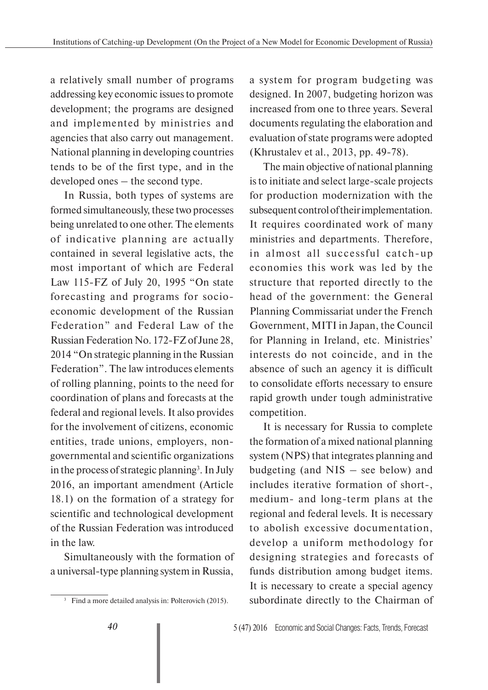a relatively small number of programs addressing key economic issues to promote development; the programs are designed and implemented by ministries and agencies that also carry out management. National planning in developing countries tends to be of the first type, and in the developed ones – the second type.

In Russia, both types of systems are formed simultaneously, these two processes being unrelated to one other. The elements of indicative planning are actually contained in several legislative acts, the most important of which are Federal Law 115-FZ of July 20, 1995 "On state forecasting and programs for socioeconomic development of the Russian Federation" and Federal Law of the Russian Federation No. 172-FZ of June 28, 2014 "On strategic planning in the Russian Federation". The law introduces elements of rolling planning, points to the need for coordination of plans and forecasts at the federal and regional levels. It also provides for the involvement of citizens, economic entities, trade unions, employers, nongovernmental and scientific organizations in the process of strategic planning<sup>3</sup>. In July 2016, an important amendment (Article 18.1) on the formation of a strategy for scientific and technological development of the Russian Federation was introduced in the law.

Simultaneously with the formation of a universal-type planning system in Russia,

a system for program budgeting was designed. In 2007, budgeting horizon was increased from one to three years. Several documents regulating the elaboration and evaluation of state programs were adopted (Khrustalev et al., 2013, pp. 49-78).

The main objective of national planning is to initiate and select large-scale projects for production modernization with the subsequent control of their implementation. It requires coordinated work of many ministries and departments. Therefore, in almost all successful catch-up economies this work was led by the structure that reported directly to the head of the government: the General Planning Commissariat under the French Government, MITI in Japan, the Council for Planning in Ireland, etc. Ministries' interests do not coincide, and in the absence of such an agency it is difficult to consolidate efforts necessary to ensure rapid growth under tough administrative competition.

It is necessary for Russia to complete the formation of a mixed national planning system (NPS) that integrates planning and budgeting (and NIS – see below) and includes iterative formation of short-, medium- and long-term plans at the regional and federal levels. It is necessary to abolish excessive documentation, develop a uniform methodology for designing strategies and forecasts of funds distribution among budget items. It is necessary to create a special agency subordinate directly to the Chairman of

<sup>&</sup>lt;sup>3</sup> Find a more detailed analysis in: Polterovich (2015).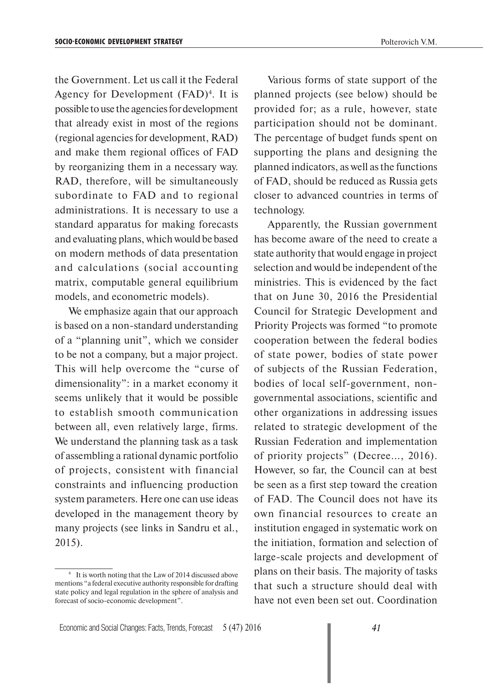the Government. Let us call it the Federal Agency for Development  $(FAD)^4$ . It is possible to use the agencies for development that already exist in most of the regions (regional agencies for development, RAD) and make them regional offices of FAD

by reorganizing them in a necessary way. RAD, therefore, will be simultaneously subordinate to FAD and to regional administrations. It is necessary to use a standard apparatus for making forecasts and evaluating plans, which would be based on modern methods of data presentation and calculations (social accounting matrix, computable general equilibrium models, and econometric models).

We emphasize again that our approach is based on a non-standard understanding of a "planning unit", which we consider to be not a company, but a major project. This will help overcome the "curse of dimensionality": in a market economy it seems unlikely that it would be possible to establish smooth communication between all, even relatively large, firms. We understand the planning task as a task of assembling a rational dynamic portfolio of projects, consistent with financial constraints and influencing production system parameters. Here one can use ideas developed in the management theory by many projects (see links in Sandru et al., 2015).

Various forms of state support of the planned projects (see below) should be provided for; as a rule, however, state participation should not be dominant. The percentage of budget funds spent on supporting the plans and designing the planned indicators, as well as the functions of FAD, should be reduced as Russia gets closer to advanced countries in terms of technology.

Apparently, the Russian government has become aware of the need to create a state authority that would engage in project selection and would be independent of the ministries. This is evidenced by the fact that on June 30, 2016 the Presidential Council for Strategic Development and Priority Projects was formed "to promote cooperation between the federal bodies of state power, bodies of state power of subjects of the Russian Federation, bodies of local self-government, nongovernmental associations, scientific and other organizations in addressing issues related to strategic development of the Russian Federation and implementation of priority projects" (Decree..., 2016). However, so far, the Council can at best be seen as a first step toward the creation of FAD. The Council does not have its own financial resources to create an institution engaged in systematic work on the initiation, formation and selection of large-scale projects and development of plans on their basis. The majority of tasks that such a structure should deal with have not even been set out. Coordination

<sup>4</sup> It is worth noting that the Law of 2014 discussed above mentions "a federal executive authority responsible for drafting state policy and legal regulation in the sphere of analysis and forecast of socio-economic development".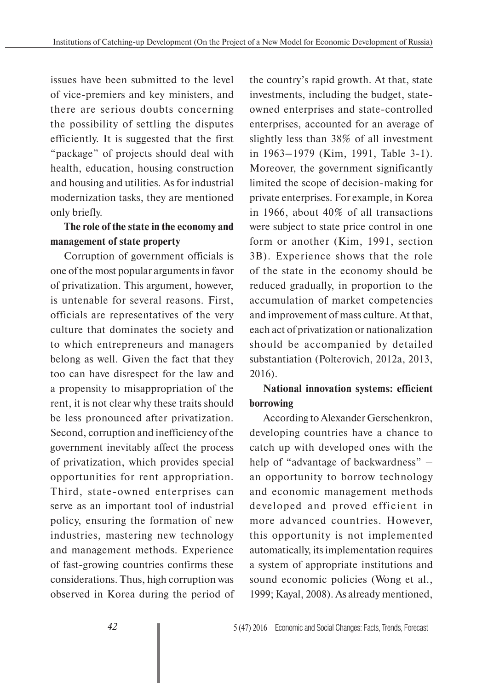issues have been submitted to the level of vice-premiers and key ministers, and there are serious doubts concerning the possibility of settling the disputes efficiently. It is suggested that the first "package" of projects should deal with health, education, housing construction and housing and utilities. As for industrial modernization tasks, they are mentioned only briefly.

### **The role of the state in the economy and management of state property**

Corruption of government officials is one of the most popular arguments in favor of privatization. This argument, however, is untenable for several reasons. First, officials are representatives of the very culture that dominates the society and to which entrepreneurs and managers belong as well. Given the fact that they too can have disrespect for the law and a propensity to misappropriation of the rent, it is not clear why these traits should be less pronounced after privatization. Second, corruption and inefficiency of the government inevitably affect the process of privatization, which provides special opportunities for rent appropriation. Third, state-owned enterprises can serve as an important tool of industrial policy, ensuring the formation of new industries, mastering new technology and management methods. Experience of fast-growing countries confirms these considerations. Thus, high corruption was observed in Korea during the period of the country's rapid growth. At that, state investments, including the budget, stateowned enterprises and state-controlled enterprises, accounted for an average of slightly less than 38% of all investment in 1963–1979 (Kim, 1991, Table 3-1). Moreover, the government significantly limited the scope of decision-making for private enterprises. For example, in Korea in 1966, about 40% of all transactions were subject to state price control in one form or another (Kim, 1991, section 3B). Experience shows that the role of the state in the economy should be reduced gradually, in proportion to the accumulation of market competencies and improvement of mass culture. At that, each act of privatization or nationalization should be accompanied by detailed substantiation (Polterovich, 2012a, 2013, 2016).

## **National innovation systems: efficient borrowing**

According to Alexander Gerschenkron, developing countries have a chance to catch up with developed ones with the help of "advantage of backwardness" – an opportunity to borrow technology and economic management methods developed and proved efficient in more advanced countries. However, this opportunity is not implemented automatically, its implementation requires a system of appropriate institutions and sound economic policies (Wong et al., 1999; Kayal, 2008). As already mentioned,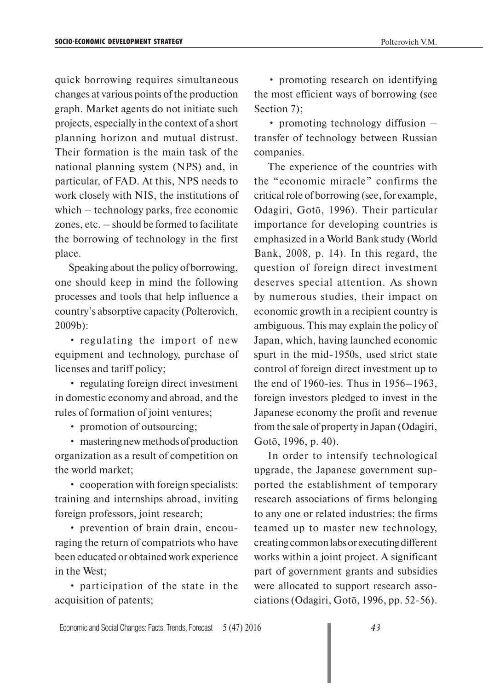quick borrowing requires simultaneous changes at various points of the production graph. Market agents do not initiate such projects, especially in the context of a short planning horizon and mutual distrust. Their formation is the main task of the national planning system (NPS) and, in particular, of FAD. At this, NPS needs to work closely with NIS, the institutions of which – technology parks, free economic zones, etc. – should be formed to facilitate the borrowing of technology in the first place.

Speaking about the policy of borrowing, one should keep in mind the following processes and tools that help influence a country's absorptive capacity (Polterovich, 2009b):

• regulating the import of new equipment and technology, purchase of licenses and tariff policy;

• regulating foreign direct investment in domestic economy and abroad, and the rules of formation of joint ventures;

• promotion of outsourcing;

• mastering new methods of production organization as a result of competition on the world market;

• cooperation with foreign specialists: training and internships abroad, inviting foreign professors, joint research;

• prevention of brain drain, encouraging the return of compatriots who have been educated or obtained work experience in the West;

• participation of the state in the acquisition of patents;

• promoting research on identifying the most efficient ways of borrowing (see Section 7);

• promoting technology diffusion – transfer of technology between Russian companies.

The experience of the countries with the "economic miracle" confirms the critical role of borrowing (see, for example, Odagiri, Gotō, 1996). Their particular importance for developing countries is emphasized in a World Bank study (World Bank, 2008, p. 14). In this regard, the question of foreign direct investment deserves special attention. As shown by numerous studies, their impact on economic growth in a recipient country is ambiguous. This may explain the policy of Japan, which, having launched economic spurt in the mid-1950s, used strict state control of foreign direct investment up to the end of 1960-ies. Thus in 1956–1963, foreign investors pledged to invest in the Japanese economy the profit and revenue from the sale of property in Japan (Odagiri, Gotō, 1996, p. 40).

In order to intensify technological upgrade, the Japanese government supported the establishment of temporary research associations of firms belonging to any one or related industries; the firms teamed up to master new technology, creating common labs or executing different works within a joint project. A significant part of government grants and subsidies were allocated to support research associations (Odagiri, Gotō, 1996, pp. 52-56).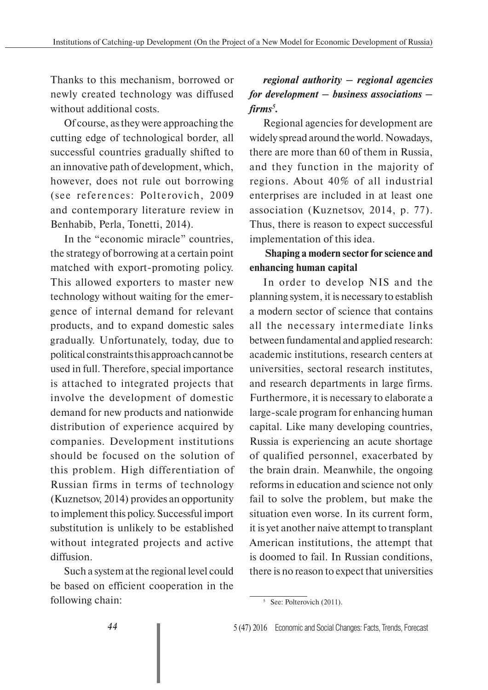Thanks to this mechanism, borrowed or newly created technology was diffused without additional costs.

Of course, as they were approaching the cutting edge of technological border, all successful countries gradually shifted to an innovative path of development, which, however, does not rule out borrowing (see references: Polterovich, 2009 and contemporary literature review in Benhabib, Perla, Tonetti, 2014).

In the "economic miracle" countries, the strategy of borrowing at a certain point matched with export-promoting policy. This allowed exporters to master new technology without waiting for the emergence of internal demand for relevant products, and to expand domestic sales gradually. Unfortunately, today, due to political constraints this approach cannot be used in full. Therefore, special importance is attached to integrated projects that involve the development of domestic demand for new products and nationwide distribution of experience acquired by companies. Development institutions should be focused on the solution of this problem. High differentiation of Russian firms in terms of technology (Kuznetsov, 2014) provides an opportunity to implement this policy. Successful import substitution is unlikely to be established without integrated projects and active diffusion.

Such a system at the regional level could be based on efficient cooperation in the following chain:

## *regional authority – regional agencies for development – business associations – firms5 .*

Regional agencies for development are widely spread around the world. Nowadays, there are more than 60 of them in Russia, and they function in the majority of regions. About 40% of all industrial enterprises are included in at least one association (Kuznetsov, 2014, p. 77). Thus, there is reason to expect successful implementation of this idea.

## **Shaping a modern sector for science and enhancing human capital**

In order to develop NIS and the planning system, it is necessary to establish a modern sector of science that contains all the necessary intermediate links between fundamental and applied research: academic institutions, research centers at universities, sectoral research institutes, and research departments in large firms. Furthermore, it is necessary to elaborate a large-scale program for enhancing human capital. Like many developing countries, Russia is experiencing an acute shortage of qualified personnel, exacerbated by the brain drain. Meanwhile, the ongoing reforms in education and science not only fail to solve the problem, but make the situation even worse. In its current form, it is yet another naive attempt to transplant American institutions, the attempt that is doomed to fail. In Russian conditions, there is no reason to expect that universities

<sup>&</sup>lt;sup>5</sup> See: Polterovich (2011).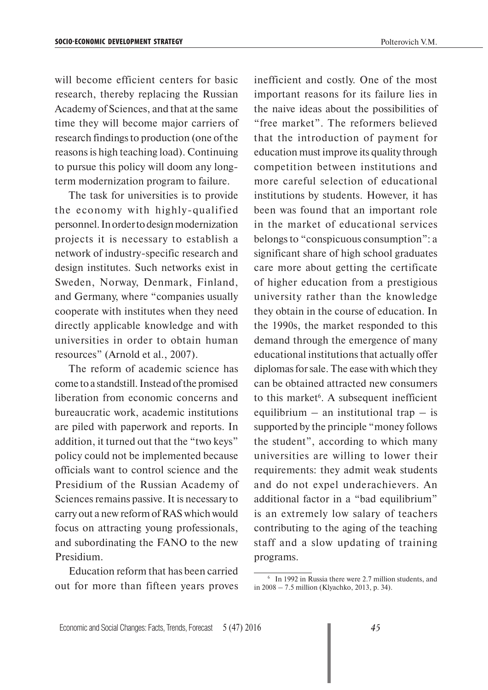will become efficient centers for basic research, thereby replacing the Russian Academy of Sciences, and that at the same time they will become major carriers of research findings to production (one of the reasons is high teaching load). Continuing to pursue this policy will doom any longterm modernization program to failure.

The task for universities is to provide the economy with highly-qualified personnel. In order to design modernization projects it is necessary to establish a network of industry-specific research and design institutes. Such networks exist in Sweden, Norway, Denmark, Finland, and Germany, where "companies usually cooperate with institutes when they need directly applicable knowledge and with universities in order to obtain human resources" (Arnold et al., 2007).

The reform of academic science has come to a standstill. Instead of the promised liberation from economic concerns and bureaucratic work, academic institutions are piled with paperwork and reports. In addition, it turned out that the "two keys" policy could not be implemented because officials want to control science and the Presidium of the Russian Academy of Sciences remains passive. It is necessary to carry out a new reform of RAS which would focus on attracting young professionals, and subordinating the FANO to the new Presidium.

Education reform that has been carried out for more than fifteen years proves inefficient and costly. One of the most important reasons for its failure lies in the naive ideas about the possibilities of "free market". The reformers believed that the introduction of payment for education must improve its quality through competition between institutions and more careful selection of educational institutions by students. However, it has been was found that an important role in the market of educational services belongs to "conspicuous consumption": a significant share of high school graduates care more about getting the certificate of higher education from a prestigious university rather than the knowledge they obtain in the course of education. In the 1990s, the market responded to this demand through the emergence of many educational institutions that actually offer diplomas for sale. The ease with which they can be obtained attracted new consumers to this market<sup>6</sup>. A subsequent inefficient equilibrium – an institutional trap – is supported by the principle "money follows the student", according to which many universities are willing to lower their requirements: they admit weak students and do not expel underachievers. An additional factor in a "bad equilibrium" is an extremely low salary of teachers contributing to the aging of the teaching staff and a slow updating of training programs.

<sup>6</sup> In 1992 in Russia there were 2.7 million students, and in 2008 – 7.5 million (Klyachko, 2013, p. 34).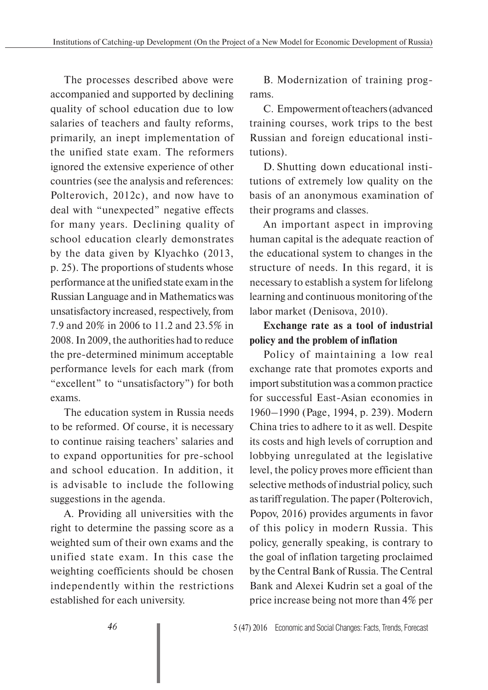The processes described above were accompanied and supported by declining quality of school education due to low salaries of teachers and faulty reforms, primarily, an inept implementation of the unified state exam. The reformers ignored the extensive experience of other countries (see the analysis and references: Polterovich, 2012c), and now have to deal with "unexpected" negative effects for many years. Declining quality of school education clearly demonstrates by the data given by Klyachko (2013, p. 25). The proportions of students whose performance at the unified state exam in the Russian Language and in Mathematics was unsatisfactory increased, respectively, from 7.9 and 20% in 2006 to 11.2 and 23.5% in 2008. In 2009, the authorities had to reduce the pre-determined minimum acceptable performance levels for each mark (from "excellent" to "unsatisfactory") for both exams.

The education system in Russia needs to be reformed. Of course, it is necessary to continue raising teachers' salaries and to expand opportunities for pre-school and school education. In addition, it is advisable to include the following suggestions in the agenda.

A. Providing all universities with the right to determine the passing score as a weighted sum of their own exams and the unified state exam. In this case the weighting coefficients should be chosen independently within the restrictions established for each university.

B. Modernization of training programs.

C. Empowerment of teachers (advanced training courses, work trips to the best Russian and foreign educational institutions).

D. Shutting down educational institutions of extremely low quality on the basis of an anonymous examination of their programs and classes.

An important aspect in improving human capital is the adequate reaction of the educational system to changes in the structure of needs. In this regard, it is necessary to establish a system for lifelong learning and continuous monitoring of the labor market (Denisova, 2010).

## **Exchange rate as a tool of industrial policy and the problem of inflation**

Policy of maintaining a low real exchange rate that promotes exports and import substitution was a common practice for successful East-Asian economies in 1960–1990 (Page, 1994, p. 239). Modern China tries to adhere to it as well. Despite its costs and high levels of corruption and lobbying unregulated at the legislative level, the policy proves more efficient than selective methods of industrial policy, such as tariff regulation. The paper (Polterovich, Popov, 2016) provides arguments in favor of this policy in modern Russia. This policy, generally speaking, is contrary to the goal of inflation targeting proclaimed by the Central Bank of Russia. The Central Bank and Alexei Kudrin set a goal of the price increase being not more than 4% per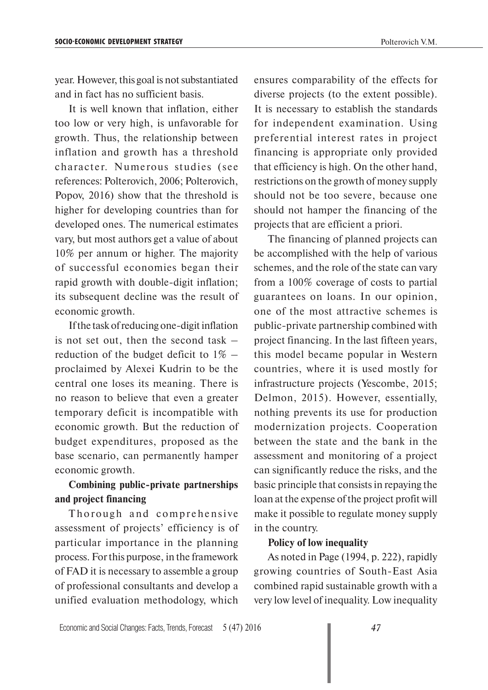year. However, this goal is not substantiated and in fact has no sufficient basis.

It is well known that inflation, either too low or very high, is unfavorable for growth. Thus, the relationship between inflation and growth has a threshold character. Numerous studies (see references: Polterovich, 2006; Polterovich, Popov, 2016) show that the threshold is higher for developing countries than for developed ones. The numerical estimates vary, but most authors get a value of about 10% per annum or higher. The majority of successful economies began their rapid growth with double-digit inflation; its subsequent decline was the result of economic growth.

If the task of reducing one-digit inflation is not set out, then the second task  $$ reduction of the budget deficit to  $1\%$  – proclaimed by Alexei Kudrin to be the central one loses its meaning. There is no reason to believe that even a greater temporary deficit is incompatible with economic growth. But the reduction of budget expenditures, proposed as the base scenario, can permanently hamper economic growth.

### **Combining public-private partnerships and project financing**

Thorough and comprehensive assessment of projects' efficiency is of particular importance in the planning process. For this purpose, in the framework of FAD it is necessary to assemble a group of professional consultants and develop a unified evaluation methodology, which

ensures comparability of the effects for diverse projects (to the extent possible). It is necessary to establish the standards for independent examination. Using preferential interest rates in project financing is appropriate only provided that efficiency is high. On the other hand, restrictions on the growth of money supply should not be too severe, because one should not hamper the financing of the projects that are efficient a priori.

The financing of planned projects can be accomplished with the help of various schemes, and the role of the state can vary from a 100% coverage of costs to partial guarantees on loans. In our opinion, one of the most attractive schemes is public-private partnership combined with project financing. In the last fifteen years, this model became popular in Western countries, where it is used mostly for infrastructure projects (Yescombe, 2015; Delmon, 2015). However, essentially, nothing prevents its use for production modernization projects. Cooperation between the state and the bank in the assessment and monitoring of a project can significantly reduce the risks, and the basic principle that consists in repaying the loan at the expense of the project profit will make it possible to regulate money supply in the country.

#### **Policy of low inequality**

As noted in Page (1994, p. 222), rapidly growing countries of South-East Asia combined rapid sustainable growth with a very low level of inequality. Low inequality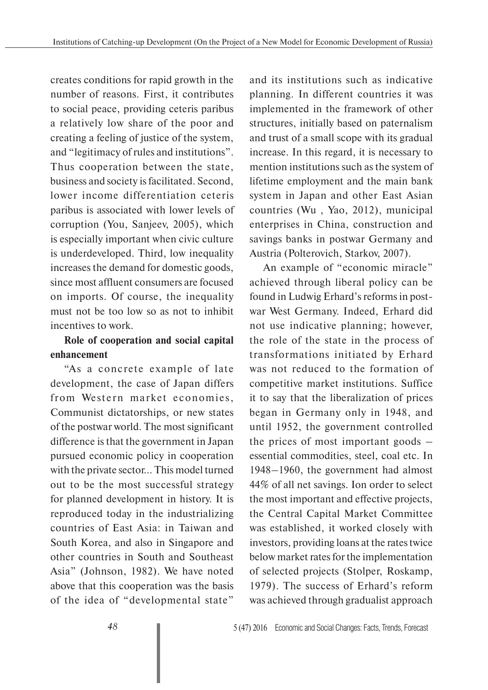creates conditions for rapid growth in the number of reasons. First, it contributes to social peace, providing ceteris paribus a relatively low share of the poor and creating a feeling of justice of the system, and "legitimacy of rules and institutions". Thus cooperation between the state, business and society is facilitated. Second, lower income differentiation ceteris paribus is associated with lower levels of corruption (You, Sanjeev, 2005), which is especially important when civic culture is underdeveloped. Third, low inequality increases the demand for domestic goods, since most affluent consumers are focused on imports. Of course, the inequality must not be too low so as not to inhibit incentives to work.

## **Role of cooperation and social capital enhancement**

"As a concrete example of late development, the case of Japan differs from Western market economies, Communist dictatorships, or new states of the postwar world. The most significant difference is that the government in Japan pursued economic policy in cooperation with the private sector... This model turned out to be the most successful strategy for planned development in history. It is reproduced today in the industrializing countries of East Asia: in Taiwan and South Korea, and also in Singapore and other countries in South and Southeast Asia" (Johnson, 1982). We have noted above that this cooperation was the basis of the idea of "developmental state"

and its institutions such as indicative planning. In different countries it was implemented in the framework of other structures, initially based on paternalism and trust of a small scope with its gradual increase. In this regard, it is necessary to mention institutions such as the system of lifetime employment and the main bank system in Japan and other East Asian countries (Wu , Yao, 2012), municipal enterprises in China, construction and savings banks in postwar Germany and Austria (Polterovich, Starkov, 2007).

An example of "economic miracle" achieved through liberal policy can be found in Ludwig Erhard's reforms in postwar West Germany. Indeed, Erhard did not use indicative planning; however, the role of the state in the process of transformations initiated by Erhard was not reduced to the formation of competitive market institutions. Suffice it to say that the liberalization of prices began in Germany only in 1948, and until 1952, the government controlled the prices of most important goods – essential commodities, steel, coal etc. In 1948–1960, the government had almost 44% of all net savings. Ion order to select the most important and effective projects, the Central Capital Market Committee was established, it worked closely with investors, providing loans at the rates twice below market rates for the implementation of selected projects (Stolper, Roskamp, 1979). The success of Erhard's reform was achieved through gradualist approach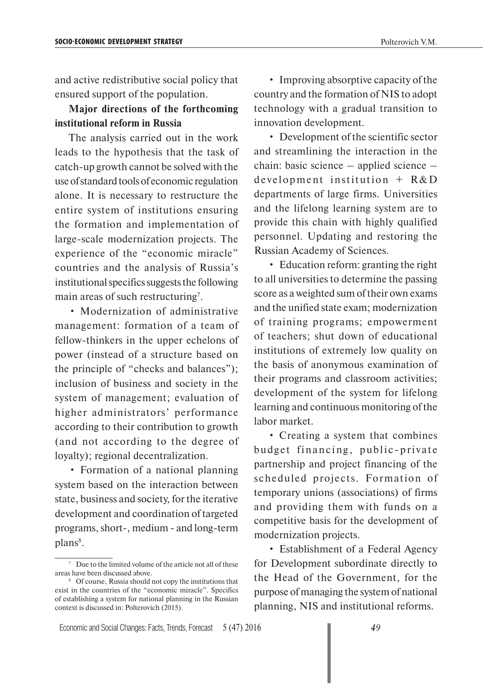and active redistributive social policy that ensured support of the population.

#### **Major directions of the forthcoming institutional reform in Russia**

The analysis carried out in the work leads to the hypothesis that the task of catch-up growth cannot be solved with the use of standard tools of economic regulation alone. It is necessary to restructure the entire system of institutions ensuring the formation and implementation of large-scale modernization projects. The experience of the "economic miracle" countries and the analysis of Russia's institutional specifics suggests the following main areas of such restructuring<sup>7</sup>.

• Modernization of administrative management: formation of a team of fellow-thinkers in the upper echelons of power (instead of a structure based on the principle of "checks and balances"); inclusion of business and society in the system of management; evaluation of higher administrators' performance according to their contribution to growth (and not according to the degree of loyalty); regional decentralization.

• Formation of a national planning system based on the interaction between state, business and society, for the iterative development and coordination of targeted programs, short-, medium - and long-term plans<sup>8</sup>.

• Improving absorptive capacity of the country and the formation of NIS to adopt technology with a gradual transition to innovation development.

• Development of the scientific sector and streamlining the interaction in the chain: basic science – applied science – development institution  $+$  R&D departments of large firms. Universities and the lifelong learning system are to provide this chain with highly qualified personnel. Updating and restoring the Russian Academy of Sciences.

• Education reform: granting the right to all universities to determine the passing score as a weighted sum of their own exams and the unified state exam; modernization of training programs; empowerment of teachers; shut down of educational institutions of extremely low quality on the basis of anonymous examination of their programs and classroom activities; development of the system for lifelong learning and continuous monitoring of the labor market.

• Creating a system that combines budget financing, public-private partnership and project financing of the scheduled projects. Formation of temporary unions (associations) of firms and providing them with funds on a competitive basis for the development of modernization projects.

• Establishment of a Federal Agency for Development subordinate directly to the Head of the Government, for the purpose of managing the system of national planning, NIS and institutional reforms.

<sup>&</sup>lt;sup>7</sup> Due to the limited volume of the article not all of these areas have been discussed above.

<sup>8</sup> Of course, Russia should not copy the institutions that exist in the countries of the "economic miracle". Specifics of establishing a system for national planning in the Russian context is discussed in: Polterovich (2015).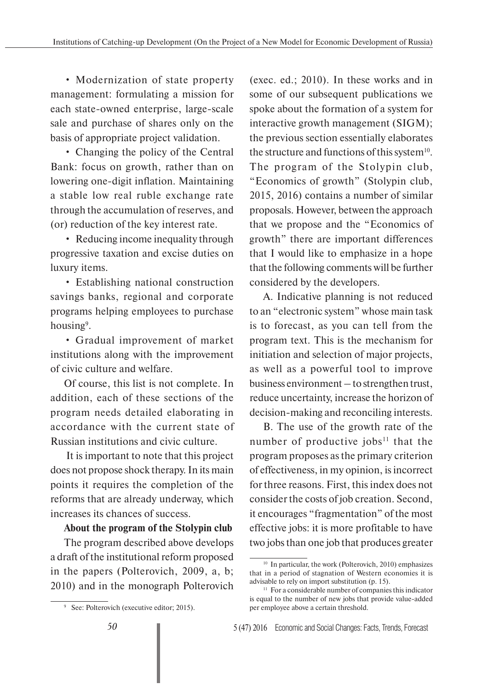• Modernization of state property management: formulating a mission for each state-owned enterprise, large-scale sale and purchase of shares only on the basis of appropriate project validation.

• Changing the policy of the Central Bank: focus on growth, rather than on lowering one-digit inflation. Maintaining a stable low real ruble exchange rate through the accumulation of reserves, and (or) reduction of the key interest rate.

• Reducing income inequality through progressive taxation and excise duties on luxury items.

• Establishing national construction savings banks, regional and corporate programs helping employees to purchase housing<sup>9</sup>.

• Gradual improvement of market institutions along with the improvement of civic culture and welfare.

Of course, this list is not complete. In addition, each of these sections of the program needs detailed elaborating in accordance with the current state of Russian institutions and civic culture.

 It is important to note that this project does not propose shock therapy. In its main points it requires the completion of the reforms that are already underway, which increases its chances of success.

## **About the program of the Stolypin club**

The program described above develops a draft of the institutional reform proposed in the papers (Polterovich, 2009, a, b; 2010) and in the monograph Polterovich

(exec. ed.; 2010). In these works and in some of our subsequent publications we spoke about the formation of a system for interactive growth management (SIGM); the previous section essentially elaborates the structure and functions of this system<sup>10</sup>. The program of the Stolypin club, "Economics of growth" (Stolypin club, 2015, 2016) contains a number of similar proposals. However, between the approach that we propose and the "Economics of growth" there are important differences that I would like to emphasize in a hope that the following comments will be further considered by the developers.

A. Indicative planning is not reduced to an "electronic system" whose main task is to forecast, as you can tell from the program text. This is the mechanism for initiation and selection of major projects, as well as a powerful tool to improve business environment – to strengthen trust, reduce uncertainty, increase the horizon of decision-making and reconciling interests.

B. The use of the growth rate of the number of productive jobs $11$  that the program proposes as the primary criterion of effectiveness, in my opinion, is incorrect for three reasons. First, this index does not consider the costs of job creation. Second, it encourages "fragmentation" of the most effective jobs: it is more profitable to have two jobs than one job that produces greater

<sup>9</sup> See: Polterovich (executive editor; 2015).

<sup>&</sup>lt;sup>10</sup> In particular, the work (Polterovich, 2010) emphasizes that in a period of stagnation of Western economies it is advisable to rely on import substitution (p. 15).

<sup>&</sup>lt;sup>11</sup> For a considerable number of companies this indicator is equal to the number of new jobs that provide value-added per employee above a certain threshold.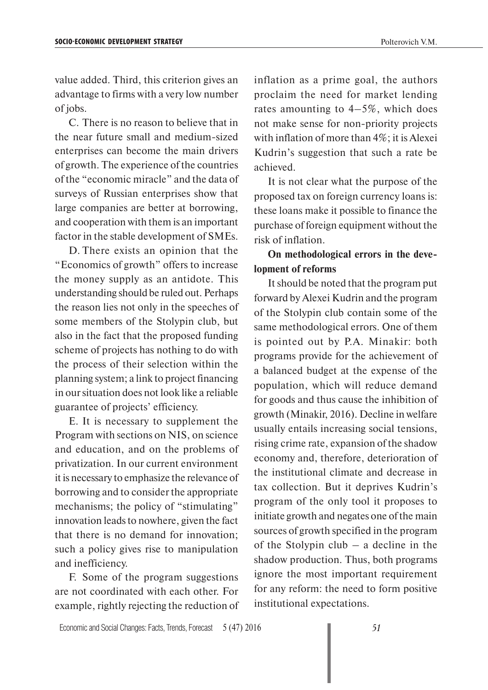value added. Third, this criterion gives an advantage to firms with a very low number of jobs.

C. There is no reason to believe that in the near future small and medium-sized enterprises can become the main drivers of growth. The experience of the countries of the "economic miracle" and the data of surveys of Russian enterprises show that large companies are better at borrowing, and cooperation with them is an important factor in the stable development of SMEs.

D. There exists an opinion that the "Economics of growth" offers to increase the money supply as an antidote. This understanding should be ruled out. Perhaps the reason lies not only in the speeches of some members of the Stolypin club, but also in the fact that the proposed funding scheme of projects has nothing to do with the process of their selection within the planning system; a link to project financing in our situation does not look like a reliable guarantee of projects' efficiency.

E. It is necessary to supplement the Program with sections on NIS, on science and education, and on the problems of privatization. In our current environment it is necessary to emphasize the relevance of borrowing and to consider the appropriate mechanisms; the policy of "stimulating" innovation leads to nowhere, given the fact that there is no demand for innovation; such a policy gives rise to manipulation and inefficiency.

F. Some of the program suggestions are not coordinated with each other. For example, rightly rejecting the reduction of inflation as a prime goal, the authors proclaim the need for market lending rates amounting to  $4-5\%$ , which does not make sense for non-priority projects with inflation of more than 4%; it is Alexei Kudrin's suggestion that such a rate be achieved.

It is not clear what the purpose of the proposed tax on foreign currency loans is: these loans make it possible to finance the purchase of foreign equipment without the risk of inflation.

### **On methodological errors in the development of reforms**

It should be noted that the program put forward by Alexei Kudrin and the program of the Stolypin club contain some of the same methodological errors. One of them is pointed out by P.A. Minakir: both programs provide for the achievement of a balanced budget at the expense of the population, which will reduce demand for goods and thus cause the inhibition of growth (Minakir, 2016). Decline in welfare usually entails increasing social tensions, rising crime rate, expansion of the shadow economy and, therefore, deterioration of the institutional climate and decrease in tax collection. But it deprives Kudrin's program of the only tool it proposes to initiate growth and negates one of the main sources of growth specified in the program of the Stolypin club – a decline in the shadow production. Thus, both programs ignore the most important requirement for any reform: the need to form positive institutional expectations.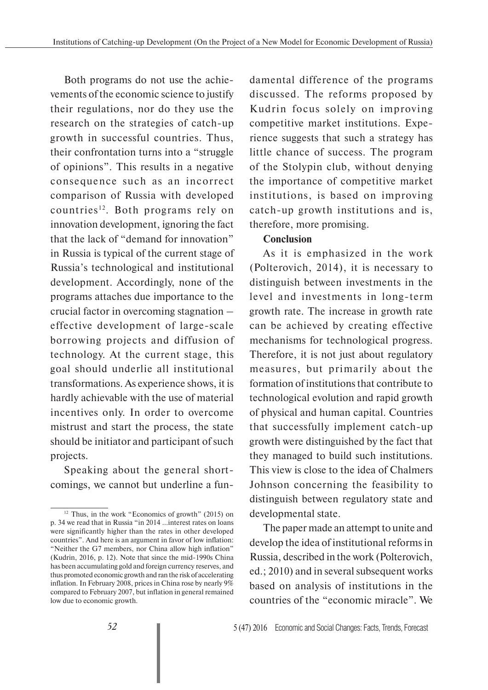Both programs do not use the achievements of the economic science to justify their regulations, nor do they use the research on the strategies of catch-up growth in successful countries. Thus, their confrontation turns into a "struggle of opinions". This results in a negative consequence such as an incorrect comparison of Russia with developed countries<sup>12</sup>. Both programs rely on innovation development, ignoring the fact that the lack of "demand for innovation" in Russia is typical of the current stage of Russia's technological and institutional development. Accordingly, none of the programs attaches due importance to the crucial factor in overcoming stagnation – effective development of large-scale borrowing projects and diffusion of technology. At the current stage, this goal should underlie all institutional transformations. As experience shows, it is hardly achievable with the use of material incentives only. In order to overcome mistrust and start the process, the state should be initiator and participant of such projects.

Speaking about the general shortcomings, we cannot but underline a fundamental difference of the programs discussed. The reforms proposed by Kudrin focus solely on improving competitive market institutions. Experience suggests that such a strategy has little chance of success. The program of the Stolypin club, without denying the importance of competitive market institutions, is based on improving catch-up growth institutions and is, therefore, more promising.

#### **Conclusion**

As it is emphasized in the work (Polterovich, 2014), it is necessary to distinguish between investments in the level and investments in long-term growth rate. The increase in growth rate can be achieved by creating effective mechanisms for technological progress. Therefore, it is not just about regulatory measures, but primarily about the formation of institutions that contribute to technological evolution and rapid growth of physical and human capital. Countries that successfully implement catch-up growth were distinguished by the fact that they managed to build such institutions. This view is close to the idea of Chalmers Johnson concerning the feasibility to distinguish between regulatory state and developmental state.

The paper made an attempt to unite and develop the idea of institutional reforms in Russia, described in the work (Polterovich, ed.; 2010) and in several subsequent works based on analysis of institutions in the countries of the "economic miracle". We

<sup>12</sup> Thus, in the work "Economics of growth" (2015) on p. 34 we read that in Russia "in 2014 ...interest rates on loans were significantly higher than the rates in other developed countries". And here is an argument in favor of low inflation: "Neither the G7 members, nor China allow high inflation" (Kudrin, 2016, p. 12). Note that since the mid-1990s China has been accumulating gold and foreign currency reserves, and thus promoted economic growth and ran the risk of accelerating inflation. In February 2008, prices in China rose by nearly 9% compared to February 2007, but inflation in general remained low due to economic growth.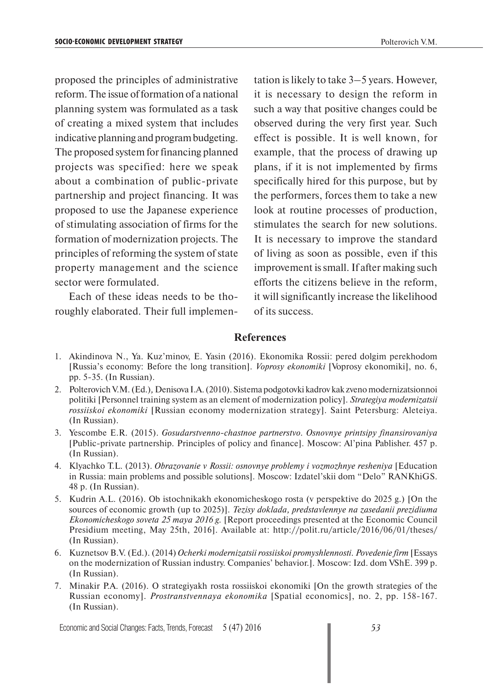proposed the principles of administrative reform. The issue of formation of a national planning system was formulated as a task of creating a mixed system that includes indicative planning and program budgeting. The proposed system for financing planned projects was specified: here we speak about a combination of public-private partnership and project financing. It was proposed to use the Japanese experience of stimulating association of firms for the formation of modernization projects. The principles of reforming the system of state property management and the science sector were formulated.

Each of these ideas needs to be thoroughly elaborated. Their full implementation is likely to take 3–5 years. However, it is necessary to design the reform in such a way that positive changes could be observed during the very first year. Such effect is possible. It is well known, for example, that the process of drawing up plans, if it is not implemented by firms specifically hired for this purpose, but by the performers, forces them to take a new look at routine processes of production, stimulates the search for new solutions. It is necessary to improve the standard of living as soon as possible, even if this improvement is small. If after making such efforts the citizens believe in the reform, it will significantly increase the likelihood of its success.

#### **References**

- 1. Akindinova N., Ya. Kuz'minov, E. Yasin (2016). Ekonomika Rossii: pered dolgim perekhodom [Russia's economy: Before the long transition]. *Voprosy ekonomiki* [Voprosy ekonomiki], no. 6, pp. 5-35. (In Russian).
- 2. Polterovich V.M. (Ed.)*,* Denisova I.A. (2010). Sistema podgotovki kadrov kak zveno modernizatsionnoi politiki [Personnel training system as an element of modernization policy]. *Strategiya modernizatsii rossiiskoi ekonomiki* [Russian economy modernization strategy]. Saint Petersburg: Aleteiya. (In Russian).
- 3. Yescombe E.R. (2015). *Gosudarstvenno-chastnoe partnerstvo. Osnovnye printsipy finansirovaniya* [Public-private partnership. Principles of policy and finance]. Moscow: Al'pina Pablisher. 457 p. (In Russian).
- 4. Klyachko T.L. (2013). *Obrazovanie v Rossii: osnovnye problemy i vozmozhnye resheniya* [Education in Russia: main problems and possible solutions]. Moscow: Izdatel'skii dom "Delo" RANKhiGS. 48 p. (In Russian).
- 5. Kudrin A.L. (2016). Ob istochnikakh ekonomicheskogo rosta (v perspektive do 2025 g.) [On the sources of economic growth (up to 2025)]. *Tezisy doklada, predstavlennye na zasedanii prezidiuma Ekonomicheskogo soveta 25 maya 2016 g.* [Report proceedings presented at the Economic Council Presidium meeting, May 25th, 2016]. Available at: http://polit.ru/article/2016/06/01/theses/ (In Russian).
- 6. Kuznetsov B.V. (Ed.). (2014) *Ocherki modernizatsii rossiiskoi promyshlennosti. Povedenie firm* [Essays on the modernization of Russian industry. Companies' behavior.]. Moscow: Izd. dom VShE. 399 p. (In Russian).
- 7. Minakir P.A. (2016). O strategiyakh rosta rossiiskoi ekonomiki [On the growth strategies of the Russian economy]. *Prostranstvennaya ekonomika* [Spatial economics], no. 2, pp. 158-167. (In Russian).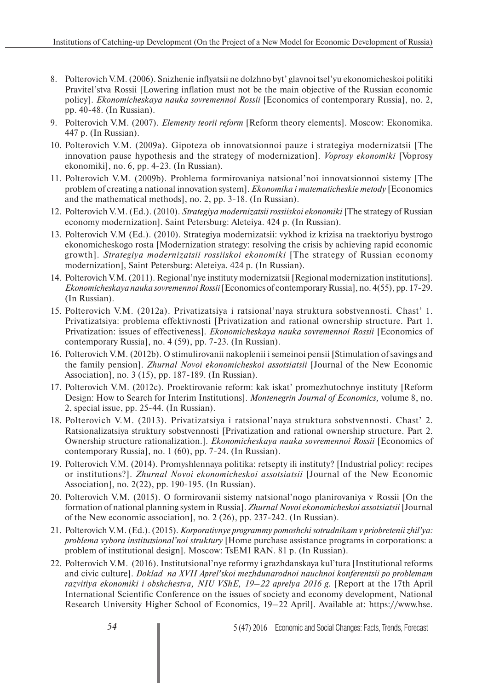- 8. Polterovich V.M. (2006). Snizhenie inflyatsii ne dolzhno byt' glavnoi tsel'yu ekonomicheskoi politiki Pravitel'stva Rossii [Lowering inflation must not be the main objective of the Russian economic policy]. *Ekonomicheskaya nauka sovremennoi Rossii* [Economics of contemporary Russia], no. 2, pp. 40-48. (In Russian).
- 9. Polterovich V.M. (2007). *Elementy teorii reform* [Reform theory elements]. Moscow: Ekonomika. 447 p. (In Russian).
- 10. Polterovich V.M. (2009a). Gipoteza ob innovatsionnoi pauze i strategiya modernizatsii [The innovation pause hypothesis and the strategy of modernization]. *Voprosy ekonomiki* [Voprosy ekonomiki], no. 6, pp. 4-23. (In Russian).
- 11. Polterovich V.M. (2009b). Problema formirovaniya natsional'noi innovatsionnoi sistemy [The problem of creating a national innovation system]. *Ekonomika i matematicheskie metody* [Economics and the mathematical methods], no. 2, pp. 3-18. (In Russian).
- 12. Polterovich V.M. (Ed.). (2010). *Strategiya modernizatsii rossiiskoi ekonomiki* [The strategy of Russian economy modernization]. Saint Petersburg: Aleteiya. 424 p. (In Russian).
- 13. Polterovich V.M (Ed.). (2010). Strategiya modernizatsii: vykhod iz krizisa na traektoriyu bystrogo ekonomicheskogo rosta [Modernization strategy: resolving the crisis by achieving rapid economic growth]. *Strategiya modernizatsii rossiiskoi ekonomiki* [The strategy of Russian economy modernization], Saint Petersburg: Aleteiya. 424 p. (In Russian).
- 14. Polterovich V.M. (2011). Regional'nye instituty modernizatsii [Regional modernization institutions]. *Ekonomicheskaya nauka sovremennoi Rossii* [Economics of contemporary Russia], no. 4(55), pp. 17-29. (In Russian).
- 15. Polterovich V.M. (2012a). Privatizatsiya i ratsional'naya struktura sobstvennosti. Chast' 1. Privatizatsiya: problema effektivnosti [Privatization and rational ownership structure. Part 1. Privatization: issues of effectiveness]. *Ekonomicheskaya nauka sovremennoi Rossii* [Economics of contemporary Russia], no. 4 (59), pp. 7-23. (In Russian).
- 16. Polterovich V.M. (2012b). O stimulirovanii nakoplenii i semeinoi pensii [Stimulation of savings and the family pension]. *Zhurnal Novoi ekonomicheskoi assotsiatsii* [Journal of the New Economic Association], no. 3 (15), pp. 187-189. (In Russian).
- 17. Polterovich V.M. (2012c). Proektirovanie reform: kak iskat' promezhutochnye instituty [Reform Design: How to Search for Interim Institutions]. *Montenegrin Journal of Economics,* volume 8, no. 2, special issue, pp. 25-44. (In Russian).
- 18. Polterovich V.M. (2013). Privatizatsiya i ratsional'naya struktura sobstvennosti. Chast' 2. Ratsionalizatsiya struktury sobstvennosti [Privatization and rational ownership structure. Part 2. Ownership structure rationalization.]. *Ekonomicheskaya nauka sovremennoi Rossii* [Economics of contemporary Russia], no. 1 (60), pp. 7-24. (In Russian).
- 19. Polterovich V.M. (2014). Promyshlennaya politika: retsepty ili instituty? [Industrial policy: recipes or institutions?]. *Zhurnal Novoi ekonomicheskoi assotsiatsii* [Journal of the New Economic Association], no. 2(22), pp. 190-195. (In Russian).
- 20. Polterovich V.M. (2015). O formirovanii sistemy natsional'nogo planirovaniya v Rossii [On the formation of national planning system in Russia]. *Zhurnal Novoi ekonomicheskoi assotsiatsii* [Journal of the New economic association], no. 2 (26), pp. 237-242. (In Russian).
- 21. Polterovich V.M. (Ed.). (2015). *Korporativnye programmy pomoshchi sotrudnikam v priobretenii zhil'ya: problema vybora institutsional'noi struktury* [Home purchase assistance programs in corporations: a problem of institutional design]. Moscow: TsEMI RAN. 81 p. (In Russian).
- 22. Polterovich V.M. (2016). Institutsional'nye reformy i grazhdanskaya kul'tura [Institutional reforms and civic culture]. *Doklad na XVII Aprel'skoi mezhdunarodnoi nauchnoi konferentsii po problemam razvitiya ekonomiki i obshchestva, NIU VShE, 19–22 aprelya 2016 g.* [Report at the 17th April International Scientific Conference on the issues of society and economy development, National Research University Higher School of Economics, 19–22 April]. Available at: https://www.hse.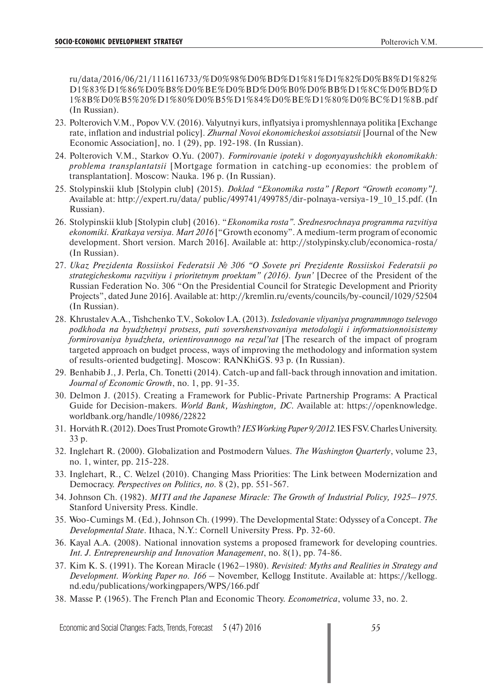ru/data/2016/06/21/1116116733/%D0%98%D0%BD%D1%81%D1%82%D0%B8%D1%82% D1%83%D1%86%D0%B8%D0%BE%D0%BD%D0%B0%D0%BB%D1%8C%D0%BD%D 1%8B%D0%B5%20%D1%80%D0%B5%D1%84%D0%BE%D1%80%D0%BC%D1%8B.pdf (In Russian).

- 23. Polterovich V.M., Popov V.V. (2016). Valyutnyi kurs, inflyatsiya i promyshlennaya politika [Exchange rate, inflation and industrial policy]. *Zhurnal Novoi ekonomicheskoi assotsiatsii* [Journal of the New Economic Association], no. 1 (29), pp. 192-198. (In Russian).
- 24. Polterovich V.M., Starkov O.Yu. (2007). *Formirovanie ipoteki v dogonyayushchikh ekonomikakh: problema transplantatsii* [Mortgage formation in catching-up economies: the problem of transplantation]. Moscow: Nauka. 196 p. (In Russian).
- 25. Stolypinskii klub [Stolypin club] (2015). *Doklad "Ekonomika rosta" [Report "Growth economy"]*. Available at: http://expert.ru/data/ public/499741/499785/dir-polnaya-versiya-19\_10\_15.pdf. (In Russian).
- 26. Stolypinskii klub [Stolypin club] (2016). "*Ekonomika rosta". Srednesrochnaya programma razvitiya ekonomiki. Kratkaya versiya. Mart 2016* ["Growth economy". A medium-term program of economic development. Short version. March 2016]. Available at: http://stolypinsky.club/economica-rosta/ (In Russian).
- 27. *Ukaz Prezidenta Rossiiskoi Federatsii № 306 "O Sovete pri Prezidente Rossiiskoi Federatsii po strategicheskomu razvitiyu i prioritetnym proektam" (2016). Iyun'* [Decree of the President of the Russian Federation No. 306 "On the Presidential Council for Strategic Development and Priority Projects", dated June 2016]. Available at: http://kremlin.ru/events/councils/by-council/1029/52504 (In Russian).
- 28. Khrustalev A.A., Tishchenko T.V., Sokolov I.A. (2013). *Issledovanie vliyaniya programmnogo tselevogo podkhoda na byudzhetnyi protsess, puti sovershenstvovaniya metodologii i informatsionnoi sistemy formirovaniya byudzheta, orientirovannogo na rezul'tat* [The research of the impact of program targeted approach on budget process, ways of improving the methodology and information system of results-oriented budgeting]. Moscow: RANKhiGS. 93 p. (In Russian).
- 29. Benhabib J., J. Perla, Ch. Tonetti (2014). Catch-up and fall-back through innovation and imitation. *Journal of Economic Growth*, no. 1, pp. 91-35.
- 30. Delmon J. (2015). Creating a Framework for Public-Private Partnership Programs: A Practical Guide for Decision-makers. *World Bank, Washington, DC*. Available at: https://openknowledge. worldbank.org/handle/10986/22822
- 31. Horváth R. (2012). Does Trust Promote Growth? *IES Working Paper 9/2012*. IES FSV. Charles University. 33 p.
- 32. Inglehart R. (2000). Globalization and Postmodern Values. *The Washington Quarterly*, volume 23, no. 1, winter, pp. 215-228.
- 33. Inglehart, R., C. Welzel (2010). Changing Mass Priorities: The Link between Modernization and Democracy. *Perspectives on Politics, no.* 8 (2), pp. 551-567.
- 34. Johnson Ch. (1982). *MITI and the Japanese Miracle: The Growth of Industrial Policy, 1925–1975*. Stanford University Press. Kindle.
- 35. Woo-Cumings M. (Ed.), Johnson Ch. (1999). The Developmental State: Odyssey of a Concept. *The Developmental State*. Ithaca, N.Y.: Cornell University Press. Pp. 32-60.
- 36. Kayal A.A. (2008). National innovation systems a proposed framework for developing countries. *Int. J. Entrepreneurship and Innovation Management*, no. 8(1), pp. 74-86.
- 37. Kim K. S. (1991). The Korean Miracle (1962–1980). *Revisited: Myths and Realities in Strategy and Development. Working Paper no. 166* – November, Kellogg Institute. Available at: https://kellogg. nd.edu/publications/workingpapers/WPS/166.pdf
- 38. Masse P. (1965). The French Plan and Economic Theory. *Econometrica*, volume 33, no. 2.